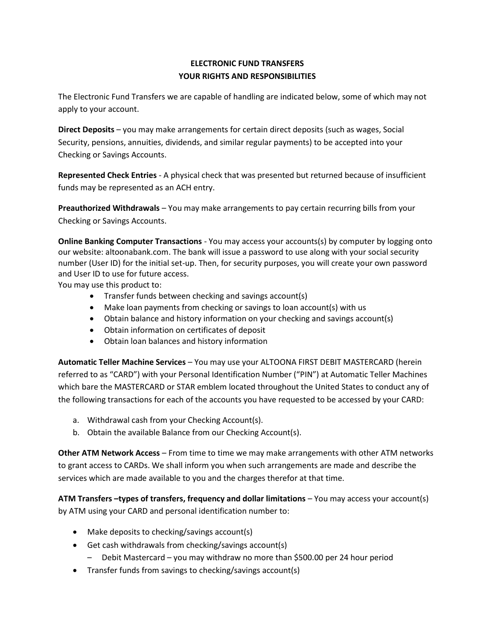# **ELECTRONIC FUND TRANSFERS YOUR RIGHTS AND RESPONSIBILITIES**

The Electronic Fund Transfers we are capable of handling are indicated below, some of which may not apply to your account.

**Direct Deposits** – you may make arrangements for certain direct deposits (such as wages, Social Security, pensions, annuities, dividends, and similar regular payments) to be accepted into your Checking or Savings Accounts.

**Represented Check Entries** - A physical check that was presented but returned because of insufficient funds may be represented as an ACH entry.

**Preauthorized Withdrawals** – You may make arrangements to pay certain recurring bills from your Checking or Savings Accounts.

**Online Banking Computer Transactions** - You may access your accounts(s) by computer by logging onto our website: altoonabank.com. The bank will issue a password to use along with your social security number (User ID) for the initial set-up. Then, for security purposes, you will create your own password and User ID to use for future access.

You may use this product to:

- Transfer funds between checking and savings account(s)
- Make loan payments from checking or savings to loan account(s) with us
- Obtain balance and history information on your checking and savings account(s)
- Obtain information on certificates of deposit
- Obtain loan balances and history information

**Automatic Teller Machine Services** – You may use your ALTOONA FIRST DEBIT MASTERCARD (herein referred to as "CARD") with your Personal Identification Number ("PIN") at Automatic Teller Machines which bare the MASTERCARD or STAR emblem located throughout the United States to conduct any of the following transactions for each of the accounts you have requested to be accessed by your CARD:

- a. Withdrawal cash from your Checking Account(s).
- b. Obtain the available Balance from our Checking Account(s).

**Other ATM Network Access** – From time to time we may make arrangements with other ATM networks to grant access to CARDs. We shall inform you when such arrangements are made and describe the services which are made available to you and the charges therefor at that time.

**ATM Transfers –types of transfers, frequency and dollar limitations** – You may access your account(s) by ATM using your CARD and personal identification number to:

- Make deposits to checking/savings account(s)
- Get cash withdrawals from checking/savings account(s)
	- Debit Mastercard you may withdraw no more than \$500.00 per 24 hour period
- Transfer funds from savings to checking/savings account(s)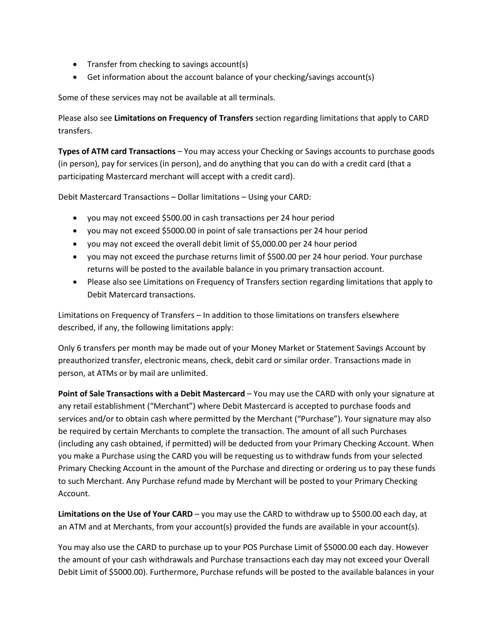- Transfer from checking to savings account(s)
- Get information about the account balance of your checking/savings account(s)

Some of these services may not be available at all terminals.

Please also see **Limitations on Frequency of Transfers** section regarding limitations that apply to CARD transfers.

**Types of ATM card Transactions** – You may access your Checking or Savings accounts to purchase goods (in person), pay for services (in person), and do anything that you can do with a credit card (that a participating Mastercard merchant will accept with a credit card).

Debit Mastercard Transactions – Dollar limitations – Using your CARD:

- you may not exceed \$500.00 in cash transactions per 24 hour period
- you may not exceed \$5000.00 in point of sale transactions per 24 hour period
- you may not exceed the overall debit limit of \$5,000.00 per 24 hour period
- you may not exceed the purchase returns limit of \$500.00 per 24 hour period. Your purchase returns will be posted to the available balance in you primary transaction account.
- Please also see Limitations on Frequency of Transfers section regarding limitations that apply to Debit Matercard transactions.

Limitations on Frequency of Transfers – In addition to those limitations on transfers elsewhere described, if any, the following limitations apply:

Only 6 transfers per month may be made out of your Money Market or Statement Savings Account by preauthorized transfer, electronic means, check, debit card or similar order. Transactions made in person, at ATMs or by mail are unlimited.

**Point of Sale Transactions with a Debit Mastercard** – You may use the CARD with only your signature at any retail establishment ("Merchant") where Debit Mastercard is accepted to purchase foods and services and/or to obtain cash where permitted by the Merchant ("Purchase"). Your signature may also be required by certain Merchants to complete the transaction. The amount of all such Purchases (including any cash obtained, if permitted) will be deducted from your Primary Checking Account. When you make a Purchase using the CARD you will be requesting us to withdraw funds from your selected Primary Checking Account in the amount of the Purchase and directing or ordering us to pay these funds to such Merchant. Any Purchase refund made by Merchant will be posted to your Primary Checking Account.

**Limitations on the Use of Your CARD** – you may use the CARD to withdraw up to \$500.00 each day, at an ATM and at Merchants, from your account(s) provided the funds are available in your account(s).

You may also use the CARD to purchase up to your POS Purchase Limit of \$5000.00 each day. However the amount of your cash withdrawals and Purchase transactions each day may not exceed your Overall Debit Limit of \$5000.00). Furthermore, Purchase refunds will be posted to the available balances in your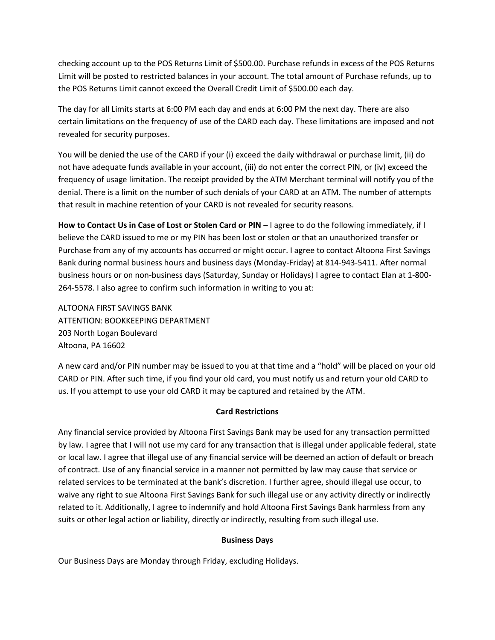checking account up to the POS Returns Limit of \$500.00. Purchase refunds in excess of the POS Returns Limit will be posted to restricted balances in your account. The total amount of Purchase refunds, up to the POS Returns Limit cannot exceed the Overall Credit Limit of \$500.00 each day.

The day for all Limits starts at 6:00 PM each day and ends at 6:00 PM the next day. There are also certain limitations on the frequency of use of the CARD each day. These limitations are imposed and not revealed for security purposes.

You will be denied the use of the CARD if your (i) exceed the daily withdrawal or purchase limit, (ii) do not have adequate funds available in your account, (iii) do not enter the correct PIN, or (iv) exceed the frequency of usage limitation. The receipt provided by the ATM Merchant terminal will notify you of the denial. There is a limit on the number of such denials of your CARD at an ATM. The number of attempts that result in machine retention of your CARD is not revealed for security reasons.

**How to Contact Us in Case of Lost or Stolen Card or PIN** – I agree to do the following immediately, if I believe the CARD issued to me or my PIN has been lost or stolen or that an unauthorized transfer or Purchase from any of my accounts has occurred or might occur. I agree to contact Altoona First Savings Bank during normal business hours and business days (Monday-Friday) at 814-943-5411. After normal business hours or on non-business days (Saturday, Sunday or Holidays) I agree to contact Elan at 1-800- 264-5578. I also agree to confirm such information in writing to you at:

ALTOONA FIRST SAVINGS BANK ATTENTION: BOOKKEEPING DEPARTMENT 203 North Logan Boulevard Altoona, PA 16602

A new card and/or PIN number may be issued to you at that time and a "hold" will be placed on your old CARD or PIN. After such time, if you find your old card, you must notify us and return your old CARD to us. If you attempt to use your old CARD it may be captured and retained by the ATM.

## **Card Restrictions**

Any financial service provided by Altoona First Savings Bank may be used for any transaction permitted by law. I agree that I will not use my card for any transaction that is illegal under applicable federal, state or local law. I agree that illegal use of any financial service will be deemed an action of default or breach of contract. Use of any financial service in a manner not permitted by law may cause that service or related services to be terminated at the bank's discretion. I further agree, should illegal use occur, to waive any right to sue Altoona First Savings Bank for such illegal use or any activity directly or indirectly related to it. Additionally, I agree to indemnify and hold Altoona First Savings Bank harmless from any suits or other legal action or liability, directly or indirectly, resulting from such illegal use.

## **Business Days**

Our Business Days are Monday through Friday, excluding Holidays.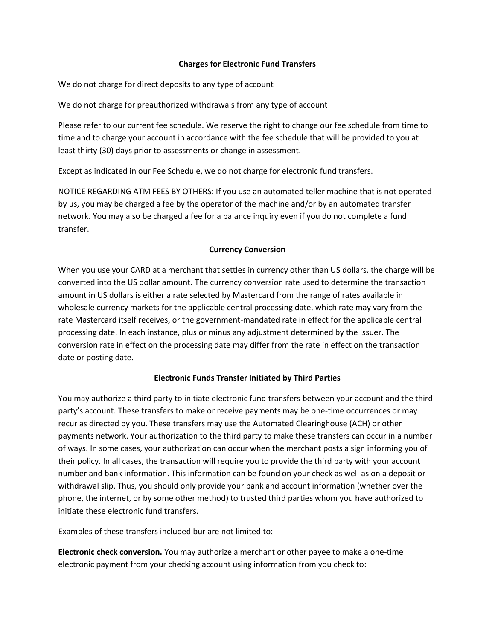#### **Charges for Electronic Fund Transfers**

We do not charge for direct deposits to any type of account

We do not charge for preauthorized withdrawals from any type of account

Please refer to our current fee schedule. We reserve the right to change our fee schedule from time to time and to charge your account in accordance with the fee schedule that will be provided to you at least thirty (30) days prior to assessments or change in assessment.

Except as indicated in our Fee Schedule, we do not charge for electronic fund transfers.

NOTICE REGARDING ATM FEES BY OTHERS: If you use an automated teller machine that is not operated by us, you may be charged a fee by the operator of the machine and/or by an automated transfer network. You may also be charged a fee for a balance inquiry even if you do not complete a fund transfer.

### **Currency Conversion**

When you use your CARD at a merchant that settles in currency other than US dollars, the charge will be converted into the US dollar amount. The currency conversion rate used to determine the transaction amount in US dollars is either a rate selected by Mastercard from the range of rates available in wholesale currency markets for the applicable central processing date, which rate may vary from the rate Mastercard itself receives, or the government-mandated rate in effect for the applicable central processing date. In each instance, plus or minus any adjustment determined by the Issuer. The conversion rate in effect on the processing date may differ from the rate in effect on the transaction date or posting date.

## **Electronic Funds Transfer Initiated by Third Parties**

You may authorize a third party to initiate electronic fund transfers between your account and the third party's account. These transfers to make or receive payments may be one-time occurrences or may recur as directed by you. These transfers may use the Automated Clearinghouse (ACH) or other payments network. Your authorization to the third party to make these transfers can occur in a number of ways. In some cases, your authorization can occur when the merchant posts a sign informing you of their policy. In all cases, the transaction will require you to provide the third party with your account number and bank information. This information can be found on your check as well as on a deposit or withdrawal slip. Thus, you should only provide your bank and account information (whether over the phone, the internet, or by some other method) to trusted third parties whom you have authorized to initiate these electronic fund transfers.

Examples of these transfers included bur are not limited to:

**Electronic check conversion.** You may authorize a merchant or other payee to make a one-time electronic payment from your checking account using information from you check to: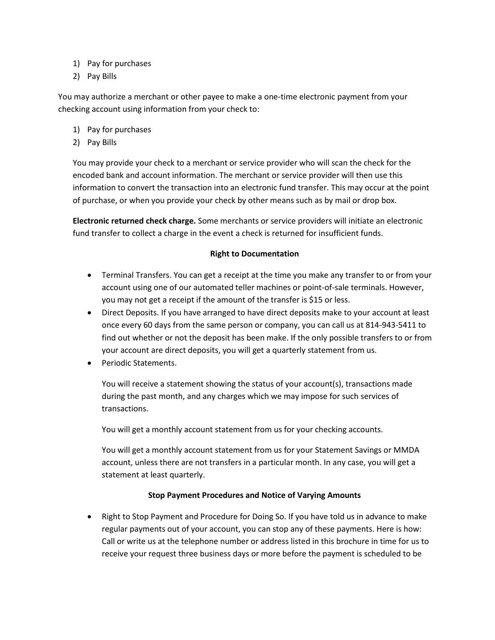- 1) Pay for purchases
- 2) Pay Bills

You may authorize a merchant or other payee to make a one-time electronic payment from your checking account using information from your check to:

- 1) Pay for purchases
- 2) Pay Bills

You may provide your check to a merchant or service provider who will scan the check for the encoded bank and account information. The merchant or service provider will then use this information to convert the transaction into an electronic fund transfer. This may occur at the point of purchase, or when you provide your check by other means such as by mail or drop box.

**Electronic returned check charge.** Some merchants or service providers will initiate an electronic fund transfer to collect a charge in the event a check is returned for insufficient funds.

### **Right to Documentation**

- Terminal Transfers. You can get a receipt at the time you make any transfer to or from your account using one of our automated teller machines or point-of-sale terminals. However, you may not get a receipt if the amount of the transfer is \$15 or less.
- Direct Deposits. If you have arranged to have direct deposits make to your account at least once every 60 days from the same person or company, you can call us at 814-943-5411 to find out whether or not the deposit has been make. If the only possible transfers to or from your account are direct deposits, you will get a quarterly statement from us.
- Periodic Statements.

You will receive a statement showing the status of your account(s), transactions made during the past month, and any charges which we may impose for such services of transactions.

You will get a monthly account statement from us for your checking accounts.

You will get a monthly account statement from us for your Statement Savings or MMDA account, unless there are not transfers in a particular month. In any case, you will get a statement at least quarterly.

## **Stop Payment Procedures and Notice of Varying Amounts**

• Right to Stop Payment and Procedure for Doing So. If you have told us in advance to make regular payments out of your account, you can stop any of these payments. Here is how: Call or write us at the telephone number or address listed in this brochure in time for us to receive your request three business days or more before the payment is scheduled to be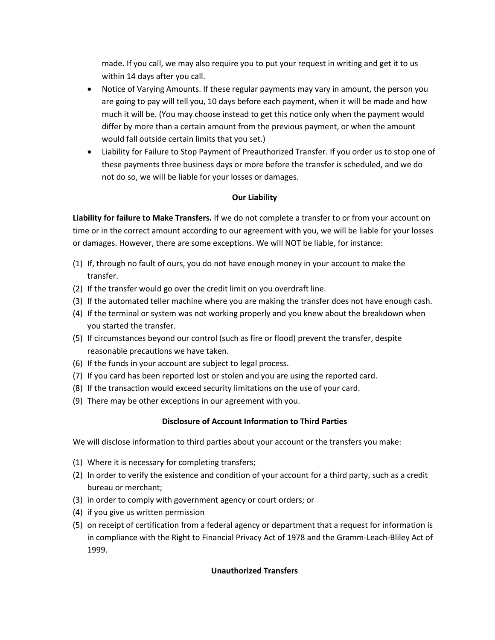made. If you call, we may also require you to put your request in writing and get it to us within 14 days after you call.

- Notice of Varying Amounts. If these regular payments may vary in amount, the person you are going to pay will tell you, 10 days before each payment, when it will be made and how much it will be. (You may choose instead to get this notice only when the payment would differ by more than a certain amount from the previous payment, or when the amount would fall outside certain limits that you set.)
- Liability for Failure to Stop Payment of Preauthorized Transfer. If you order us to stop one of these payments three business days or more before the transfer is scheduled, and we do not do so, we will be liable for your losses or damages.

# **Our Liability**

**Liability for failure to Make Transfers.** If we do not complete a transfer to or from your account on time or in the correct amount according to our agreement with you, we will be liable for your losses or damages. However, there are some exceptions. We will NOT be liable, for instance:

- (1) If, through no fault of ours, you do not have enough money in your account to make the transfer.
- (2) If the transfer would go over the credit limit on you overdraft line.
- (3) If the automated teller machine where you are making the transfer does not have enough cash.
- (4) If the terminal or system was not working properly and you knew about the breakdown when you started the transfer.
- (5) If circumstances beyond our control (such as fire or flood) prevent the transfer, despite reasonable precautions we have taken.
- (6) If the funds in your account are subject to legal process.
- (7) If you card has been reported lost or stolen and you are using the reported card.
- (8) If the transaction would exceed security limitations on the use of your card.
- (9) There may be other exceptions in our agreement with you.

## **Disclosure of Account Information to Third Parties**

We will disclose information to third parties about your account or the transfers you make:

- (1) Where it is necessary for completing transfers;
- (2) In order to verify the existence and condition of your account for a third party, such as a credit bureau or merchant;
- (3) in order to comply with government agency or court orders; or
- (4) if you give us written permission
- (5) on receipt of certification from a federal agency or department that a request for information is in compliance with the Right to Financial Privacy Act of 1978 and the Gramm-Leach-Bliley Act of 1999.

## **Unauthorized Transfers**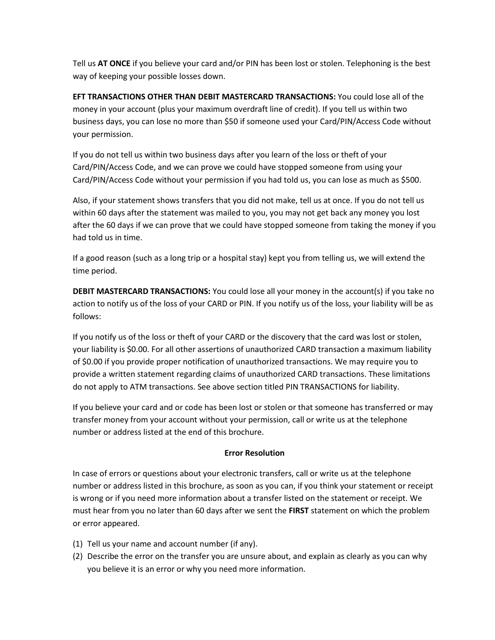Tell us **AT ONCE** if you believe your card and/or PIN has been lost or stolen. Telephoning is the best way of keeping your possible losses down.

**EFT TRANSACTIONS OTHER THAN DEBIT MASTERCARD TRANSACTIONS:** You could lose all of the money in your account (plus your maximum overdraft line of credit). If you tell us within two business days, you can lose no more than \$50 if someone used your Card/PIN/Access Code without your permission.

If you do not tell us within two business days after you learn of the loss or theft of your Card/PIN/Access Code, and we can prove we could have stopped someone from using your Card/PIN/Access Code without your permission if you had told us, you can lose as much as \$500.

Also, if your statement shows transfers that you did not make, tell us at once. If you do not tell us within 60 days after the statement was mailed to you, you may not get back any money you lost after the 60 days if we can prove that we could have stopped someone from taking the money if you had told us in time.

If a good reason (such as a long trip or a hospital stay) kept you from telling us, we will extend the time period.

**DEBIT MASTERCARD TRANSACTIONS:** You could lose all your money in the account(s) if you take no action to notify us of the loss of your CARD or PIN. If you notify us of the loss, your liability will be as follows:

If you notify us of the loss or theft of your CARD or the discovery that the card was lost or stolen, your liability is \$0.00. For all other assertions of unauthorized CARD transaction a maximum liability of \$0.00 if you provide proper notification of unauthorized transactions. We may require you to provide a written statement regarding claims of unauthorized CARD transactions. These limitations do not apply to ATM transactions. See above section titled PIN TRANSACTIONS for liability.

If you believe your card and or code has been lost or stolen or that someone has transferred or may transfer money from your account without your permission, call or write us at the telephone number or address listed at the end of this brochure.

## **Error Resolution**

In case of errors or questions about your electronic transfers, call or write us at the telephone number or address listed in this brochure, as soon as you can, if you think your statement or receipt is wrong or if you need more information about a transfer listed on the statement or receipt. We must hear from you no later than 60 days after we sent the **FIRST** statement on which the problem or error appeared.

- (1) Tell us your name and account number (if any).
- (2) Describe the error on the transfer you are unsure about, and explain as clearly as you can why you believe it is an error or why you need more information.